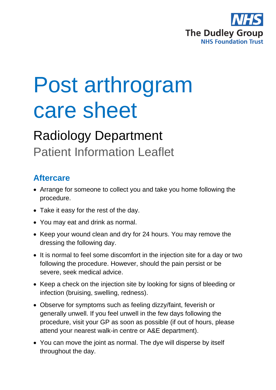

# Post arthrogram care sheet

## Radiology Department Patient Information Leaflet

### **Aftercare**

- Arrange for someone to collect you and take you home following the procedure.
- Take it easy for the rest of the day.
- You may eat and drink as normal.
- Keep your wound clean and dry for 24 hours. You may remove the dressing the following day.
- It is normal to feel some discomfort in the injection site for a day or two following the procedure. However, should the pain persist or be severe, seek medical advice.
- Keep a check on the injection site by looking for signs of bleeding or infection (bruising, swelling, redness).
- Observe for symptoms such as feeling dizzy/faint, feverish or generally unwell. If you feel unwell in the few days following the procedure, visit your GP as soon as possible (if out of hours, please attend your nearest walk-in centre or A&E department).
- You can move the joint as normal. The dye will disperse by itself throughout the day.